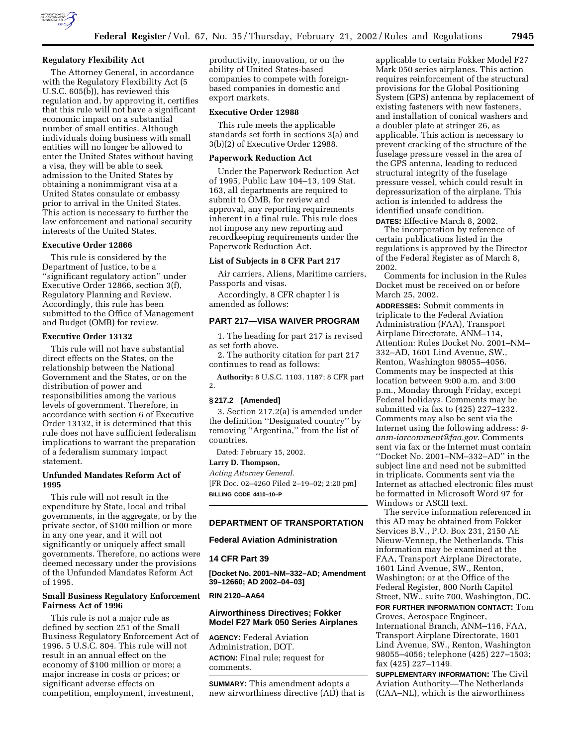

### **Regulatory Flexibility Act**

The Attorney General, in accordance with the Regulatory Flexibility Act (5 U.S.C. 605(b)), has reviewed this regulation and, by approving it, certifies that this rule will not have a significant economic impact on a substantial number of small entities. Although individuals doing business with small entities will no longer be allowed to enter the United States without having a visa, they will be able to seek admission to the United States by obtaining a nonimmigrant visa at a United States consulate or embassy prior to arrival in the United States. This action is necessary to further the law enforcement and national security interests of the United States.

# **Executive Order 12866**

This rule is considered by the Department of Justice, to be a ''significant regulatory action'' under Executive Order 12866, section 3(f), Regulatory Planning and Review. Accordingly, this rule has been submitted to the Office of Management and Budget (OMB) for review.

#### **Executive Order 13132**

This rule will not have substantial direct effects on the States, on the relationship between the National Government and the States, or on the distribution of power and responsibilities among the various levels of government. Therefore, in accordance with section 6 of Executive Order 13132, it is determined that this rule does not have sufficient federalism implications to warrant the preparation of a federalism summary impact statement.

## **Unfunded Mandates Reform Act of 1995**

This rule will not result in the expenditure by State, local and tribal governments, in the aggregate, or by the private sector, of \$100 million or more in any one year, and it will not significantly or uniquely affect small governments. Therefore, no actions were deemed necessary under the provisions of the Unfunded Mandates Reform Act of 1995.

## **Small Business Regulatory Enforcement Fairness Act of 1996**

This rule is not a major rule as defined by section 251 of the Small Business Regulatory Enforcement Act of 1996. 5 U.S.C. 804. This rule will not result in an annual effect on the economy of \$100 million or more; a major increase in costs or prices; or significant adverse effects on competition, employment, investment,

productivity, innovation, or on the ability of United States-based companies to compete with foreignbased companies in domestic and export markets.

## **Executive Order 12988**

This rule meets the applicable standards set forth in sections 3(a) and 3(b)(2) of Executive Order 12988.

#### **Paperwork Reduction Act**

Under the Paperwork Reduction Act of 1995, Public Law 104–13, 109 Stat. 163, all departments are required to submit to OMB, for review and approval, any reporting requirements inherent in a final rule. This rule does not impose any new reporting and recordkeeping requirements under the Paperwork Reduction Act.

## **List of Subjects in 8 CFR Part 217**

Air carriers, Aliens, Maritime carriers, Passports and visas.

Accordingly, 8 CFR chapter I is amended as follows:

# **PART 217—VISA WAIVER PROGRAM**

1. The heading for part 217 is revised as set forth above.

2. The authority citation for part 217 continues to read as follows:

**Authority:** 8 U.S.C. 1103, 1187; 8 CFR part 2.

## **§ 217.2 [Amended]**

3. Section 217.2(a) is amended under the definition ''Designated country'' by removing "Argentina," from the list of countries.

Dated: February 15, 2002.

**Larry D. Thompson,**

*Acting Attorney General.* [FR Doc. 02–4260 Filed 2–19–02; 2:20 pm]

**BILLING CODE 4410–10–P**

# **DEPARTMENT OF TRANSPORTATION**

## **Federal Aviation Administration**

**14 CFR Part 39**

**[Docket No. 2001–NM–332–AD; Amendment 39–12660; AD 2002–04–03]**

### **RIN 2120–AA64**

## **Airworthiness Directives; Fokker Model F27 Mark 050 Series Airplanes**

**AGENCY:** Federal Aviation Administration, DOT. **ACTION:** Final rule; request for comments.

**SUMMARY:** This amendment adopts a new airworthiness directive (AD) that is applicable to certain Fokker Model F27 Mark 050 series airplanes. This action requires reinforcement of the structural provisions for the Global Positioning System (GPS) antenna by replacement of existing fasteners with new fasteners, and installation of conical washers and a doubler plate at stringer 26, as applicable. This action is necessary to prevent cracking of the structure of the fuselage pressure vessel in the area of the GPS antenna, leading to reduced structural integrity of the fuselage pressure vessel, which could result in depressurization of the airplane. This action is intended to address the identified unsafe condition.

**DATES:** Effective March 8, 2002. The incorporation by reference of certain publications listed in the regulations is approved by the Director of the Federal Register as of March 8, 2002.

Comments for inclusion in the Rules Docket must be received on or before March 25, 2002.

**ADDRESSES:** Submit comments in triplicate to the Federal Aviation Administration (FAA), Transport Airplane Directorate, ANM–114, Attention: Rules Docket No. 2001–NM– 332–AD, 1601 Lind Avenue, SW., Renton, Washington 98055–4056. Comments may be inspected at this location between 9:00 a.m. and 3:00 p.m., Monday through Friday, except Federal holidays. Comments may be submitted via fax to (425) 227–1232. Comments may also be sent via the Internet using the following address: *9 anm-iarcomment@faa.gov.* Comments sent via fax or the Internet must contain ''Docket No. 2001–NM–332–AD'' in the subject line and need not be submitted in triplicate. Comments sent via the Internet as attached electronic files must be formatted in Microsoft Word 97 for Windows or ASCII text.

The service information referenced in this AD may be obtained from Fokker Services B.V., P.O. Box 231, 2150 AE Nieuw-Vennep, the Netherlands. This information may be examined at the FAA, Transport Airplane Directorate, 1601 Lind Avenue, SW., Renton, Washington; or at the Office of the Federal Register, 800 North Capitol Street, NW., suite 700, Washington, DC. **FOR FURTHER INFORMATION CONTACT:** Tom Groves, Aerospace Engineer,

International Branch, ANM–116, FAA, Transport Airplane Directorate, 1601 Lind Avenue, SW., Renton, Washington 98055–4056; telephone (425) 227–1503; fax (425) 227–1149.

**SUPPLEMENTARY INFORMATION:** The Civil Aviation Authority—The Netherlands (CAA–NL), which is the airworthiness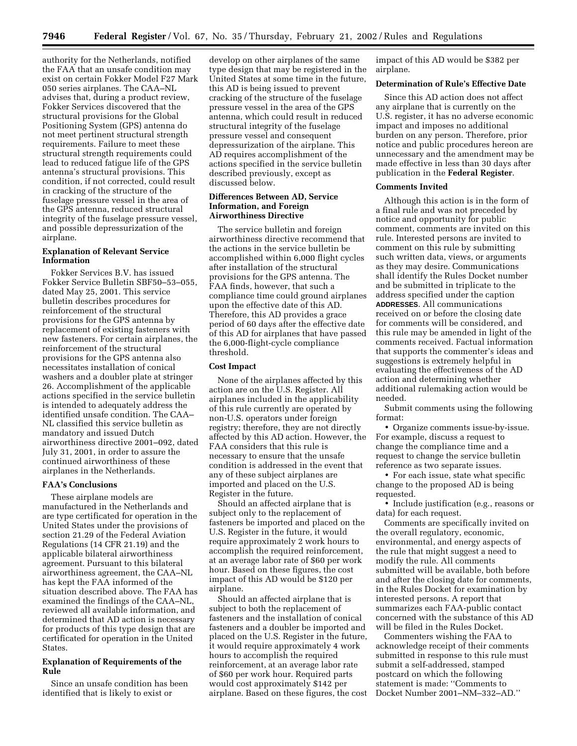authority for the Netherlands, notified the FAA that an unsafe condition may exist on certain Fokker Model F27 Mark 050 series airplanes. The CAA–NL advises that, during a product review, Fokker Services discovered that the structural provisions for the Global Positioning System (GPS) antenna do not meet pertinent structural strength requirements. Failure to meet these structural strength requirements could lead to reduced fatigue life of the GPS antenna's structural provisions. This condition, if not corrected, could result in cracking of the structure of the fuselage pressure vessel in the area of the GPS antenna, reduced structural integrity of the fuselage pressure vessel, and possible depressurization of the airplane.

## **Explanation of Relevant Service Information**

Fokker Services B.V. has issued Fokker Service Bulletin SBF50–53–055, dated May 25, 2001. This service bulletin describes procedures for reinforcement of the structural provisions for the GPS antenna by replacement of existing fasteners with new fasteners. For certain airplanes, the reinforcement of the structural provisions for the GPS antenna also necessitates installation of conical washers and a doubler plate at stringer 26. Accomplishment of the applicable actions specified in the service bulletin is intended to adequately address the identified unsafe condition. The CAA– NL classified this service bulletin as mandatory and issued Dutch airworthiness directive 2001–092, dated July 31, 2001, in order to assure the continued airworthiness of these airplanes in the Netherlands.

#### **FAA's Conclusions**

These airplane models are manufactured in the Netherlands and are type certificated for operation in the United States under the provisions of section 21.29 of the Federal Aviation Regulations (14 CFR 21.19) and the applicable bilateral airworthiness agreement. Pursuant to this bilateral airworthiness agreement, the CAA–NL has kept the FAA informed of the situation described above. The FAA has examined the findings of the CAA–NL, reviewed all available information, and determined that AD action is necessary for products of this type design that are certificated for operation in the United States.

## **Explanation of Requirements of the Rule**

Since an unsafe condition has been identified that is likely to exist or

develop on other airplanes of the same type design that may be registered in the United States at some time in the future, this AD is being issued to prevent cracking of the structure of the fuselage pressure vessel in the area of the GPS antenna, which could result in reduced structural integrity of the fuselage pressure vessel and consequent depressurization of the airplane. This AD requires accomplishment of the actions specified in the service bulletin described previously, except as discussed below.

### **Differences Between AD, Service Information, and Foreign Airworthiness Directive**

The service bulletin and foreign airworthiness directive recommend that the actions in the service bulletin be accomplished within 6,000 flight cycles after installation of the structural provisions for the GPS antenna. The FAA finds, however, that such a compliance time could ground airplanes upon the effective date of this AD. Therefore, this AD provides a grace period of 60 days after the effective date of this AD for airplanes that have passed the 6,000-flight-cycle compliance threshold.

## **Cost Impact**

None of the airplanes affected by this action are on the U.S. Register. All airplanes included in the applicability of this rule currently are operated by non-U.S. operators under foreign registry; therefore, they are not directly affected by this AD action. However, the FAA considers that this rule is necessary to ensure that the unsafe condition is addressed in the event that any of these subject airplanes are imported and placed on the U.S. Register in the future.

Should an affected airplane that is subject only to the replacement of fasteners be imported and placed on the U.S. Register in the future, it would require approximately 2 work hours to accomplish the required reinforcement, at an average labor rate of \$60 per work hour. Based on these figures, the cost impact of this AD would be \$120 per airplane.

Should an affected airplane that is subject to both the replacement of fasteners and the installation of conical fasteners and a doubler be imported and placed on the U.S. Register in the future, it would require approximately 4 work hours to accomplish the required reinforcement, at an average labor rate of \$60 per work hour. Required parts would cost approximately \$142 per airplane. Based on these figures, the cost

impact of this AD would be \$382 per airplane.

## **Determination of Rule's Effective Date**

Since this AD action does not affect any airplane that is currently on the U.S. register, it has no adverse economic impact and imposes no additional burden on any person. Therefore, prior notice and public procedures hereon are unnecessary and the amendment may be made effective in less than 30 days after publication in the **Federal Register**.

#### **Comments Invited**

Although this action is in the form of a final rule and was not preceded by notice and opportunity for public comment, comments are invited on this rule. Interested persons are invited to comment on this rule by submitting such written data, views, or arguments as they may desire. Communications shall identify the Rules Docket number and be submitted in triplicate to the address specified under the caption **ADDRESSES**. All communications received on or before the closing date for comments will be considered, and this rule may be amended in light of the comments received. Factual information that supports the commenter's ideas and suggestions is extremely helpful in evaluating the effectiveness of the AD action and determining whether additional rulemaking action would be needed.

Submit comments using the following format:

• Organize comments issue-by-issue. For example, discuss a request to change the compliance time and a request to change the service bulletin reference as two separate issues.

• For each issue, state what specific change to the proposed AD is being requested.

• Include justification (e.g., reasons or data) for each request.

Comments are specifically invited on the overall regulatory, economic, environmental, and energy aspects of the rule that might suggest a need to modify the rule. All comments submitted will be available, both before and after the closing date for comments, in the Rules Docket for examination by interested persons. A report that summarizes each FAA-public contact concerned with the substance of this AD will be filed in the Rules Docket.

Commenters wishing the FAA to acknowledge receipt of their comments submitted in response to this rule must submit a self-addressed, stamped postcard on which the following statement is made: ''Comments to Docket Number 2001–NM–332–AD.''